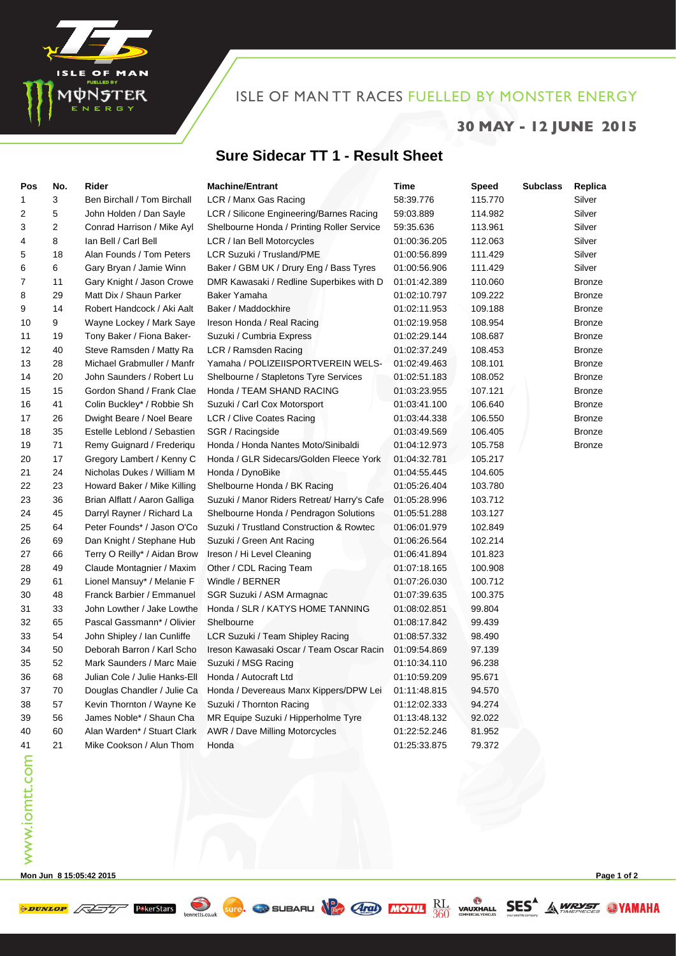

## ISLE OF MAN TT RACES FUELLED BY MONSTER ENERGY

## **30 MAY - 12 JUNE 2015**

## **Sure Sidecar TT 1 - Result Sheet**

| Pos | No. | Rider                         | <b>Machine/Entrant</b>                      | Time         | Speed   | <b>Subclass</b> | Replica       |
|-----|-----|-------------------------------|---------------------------------------------|--------------|---------|-----------------|---------------|
| 1   | 3   | Ben Birchall / Tom Birchall   | LCR / Manx Gas Racing                       | 58:39.776    | 115.770 |                 | Silver        |
| 2   | 5   | John Holden / Dan Sayle       | LCR / Silicone Engineering/Barnes Racing    | 59:03.889    | 114.982 |                 | Silver        |
| 3   | 2   | Conrad Harrison / Mike Ayl    | Shelbourne Honda / Printing Roller Service  | 59:35.636    | 113.961 |                 | Silver        |
| 4   | 8   | lan Bell / Carl Bell          | LCR / Ian Bell Motorcycles                  | 01:00:36.205 | 112.063 |                 | Silver        |
| 5   | 18  | Alan Founds / Tom Peters      | LCR Suzuki / Trusland/PME                   | 01:00:56.899 | 111.429 |                 | Silver        |
| 6   | 6   | Gary Bryan / Jamie Winn       | Baker / GBM UK / Drury Eng / Bass Tyres     | 01:00:56.906 | 111.429 |                 | Silver        |
| 7   | 11  | Gary Knight / Jason Crowe     | DMR Kawasaki / Redline Superbikes with D    | 01:01:42.389 | 110.060 |                 | <b>Bronze</b> |
| 8   | 29  | Matt Dix / Shaun Parker       | Baker Yamaha                                | 01:02:10.797 | 109.222 |                 | <b>Bronze</b> |
| 9   | 14  | Robert Handcock / Aki Aalt    | Baker / Maddockhire                         | 01:02:11.953 | 109.188 |                 | <b>Bronze</b> |
| 10  | 9   | Wayne Lockey / Mark Saye      | Ireson Honda / Real Racing                  | 01:02:19.958 | 108.954 |                 | <b>Bronze</b> |
| 11  | 19  | Tony Baker / Fiona Baker-     | Suzuki / Cumbria Express                    | 01:02:29.144 | 108.687 |                 | <b>Bronze</b> |
| 12  | 40  | Steve Ramsden / Matty Ra      | LCR / Ramsden Racing                        | 01:02:37.249 | 108.453 |                 | <b>Bronze</b> |
| 13  | 28  | Michael Grabmuller / Manfr    | Yamaha / POLIZEIISPORTVEREIN WELS-          | 01:02:49.463 | 108.101 |                 | <b>Bronze</b> |
| 14  | 20  | John Saunders / Robert Lu     | Shelbourne / Stapletons Tyre Services       | 01:02:51.183 | 108.052 |                 | <b>Bronze</b> |
| 15  | 15  | Gordon Shand / Frank Clae     | Honda / TEAM SHAND RACING                   | 01:03:23.955 | 107.121 |                 | <b>Bronze</b> |
| 16  | 41  | Colin Buckley* / Robbie Sh    | Suzuki / Carl Cox Motorsport                | 01:03:41.100 | 106.640 |                 | <b>Bronze</b> |
| 17  | 26  | Dwight Beare / Noel Beare     | LCR / Clive Coates Racing                   | 01:03:44.338 | 106.550 |                 | <b>Bronze</b> |
| 18  | 35  | Estelle Leblond / Sebastien   | SGR / Racingside                            | 01:03:49.569 | 106.405 |                 | <b>Bronze</b> |
| 19  | 71  | Remy Guignard / Frederiqu     | Honda / Honda Nantes Moto/Sinibaldi         | 01:04:12.973 | 105.758 |                 | <b>Bronze</b> |
| 20  | 17  | Gregory Lambert / Kenny C     | Honda / GLR Sidecars/Golden Fleece York     | 01:04:32.781 | 105.217 |                 |               |
| 21  | 24  | Nicholas Dukes / William M    | Honda / DynoBike                            | 01:04:55.445 | 104.605 |                 |               |
| 22  | 23  | Howard Baker / Mike Killing   | Shelbourne Honda / BK Racing                | 01:05:26.404 | 103.780 |                 |               |
| 23  | 36  | Brian Alflatt / Aaron Galliga | Suzuki / Manor Riders Retreat/ Harry's Cafe | 01:05:28.996 | 103.712 |                 |               |
| 24  | 45  | Darryl Rayner / Richard La    | Shelbourne Honda / Pendragon Solutions      | 01:05:51.288 | 103.127 |                 |               |
| 25  | 64  | Peter Founds* / Jason O'Co    | Suzuki / Trustland Construction & Rowtec    | 01:06:01.979 | 102.849 |                 |               |
| 26  | 69  | Dan Knight / Stephane Hub     | Suzuki / Green Ant Racing                   | 01:06:26.564 | 102.214 |                 |               |
| 27  | 66  | Terry O Reilly* / Aidan Brow  | Ireson / Hi Level Cleaning                  | 01:06:41.894 | 101.823 |                 |               |
| 28  | 49  | Claude Montagnier / Maxim     | Other / CDL Racing Team                     | 01:07:18.165 | 100.908 |                 |               |
| 29  | 61  | Lionel Mansuy* / Melanie F    | Windle / BERNER                             | 01:07:26.030 | 100.712 |                 |               |
| 30  | 48  | Franck Barbier / Emmanuel     | SGR Suzuki / ASM Armagnac                   | 01:07:39.635 | 100.375 |                 |               |
| 31  | 33  | John Lowther / Jake Lowthe    | Honda / SLR / KATYS HOME TANNING            | 01:08:02.851 | 99.804  |                 |               |
| 32  | 65  | Pascal Gassmann* / Olivier    | Shelbourne                                  | 01:08:17.842 | 99.439  |                 |               |
| 33  | 54  | John Shipley / Ian Cunliffe   | LCR Suzuki / Team Shipley Racing            | 01:08:57.332 | 98.490  |                 |               |
| 34  | 50  | Deborah Barron / Karl Scho    | Ireson Kawasaki Oscar / Team Oscar Racin    | 01:09:54.869 | 97.139  |                 |               |
| 35  | 52  | Mark Saunders / Marc Maie     | Suzuki / MSG Racing                         | 01:10:34.110 | 96.238  |                 |               |
| 36  | 68  | Julian Cole / Julie Hanks-Ell | Honda / Autocraft Ltd                       | 01:10:59.209 | 95.671  |                 |               |
| 37  | 70  | Douglas Chandler / Julie Ca   | Honda / Devereaus Manx Kippers/DPW Lei      | 01:11:48.815 | 94.570  |                 |               |
| 38  | 57  | Kevin Thornton / Wayne Ke     | Suzuki / Thornton Racing                    | 01:12:02.333 | 94.274  |                 |               |
| 39  | 56  | James Noble* / Shaun Cha      | MR Equipe Suzuki / Hipperholme Tyre         | 01:13:48.132 | 92.022  |                 |               |
| 40  | 60  | Alan Warden* / Stuart Clark   | AWR / Dave Milling Motorcycles              | 01:22:52.246 | 81.952  |                 |               |
| 41  | 21  | Mike Cookson / Alun Thom      | Honda                                       | 01:25:33.875 | 79.372  |                 |               |

**EXECUTE PERFECTION SUITE** SUBARU NE AND MOTUL RU WAUXHALL SES A WRYST WAMAHA

**Mon Jun 8 15:05:42 2015 Page 1 of 2**